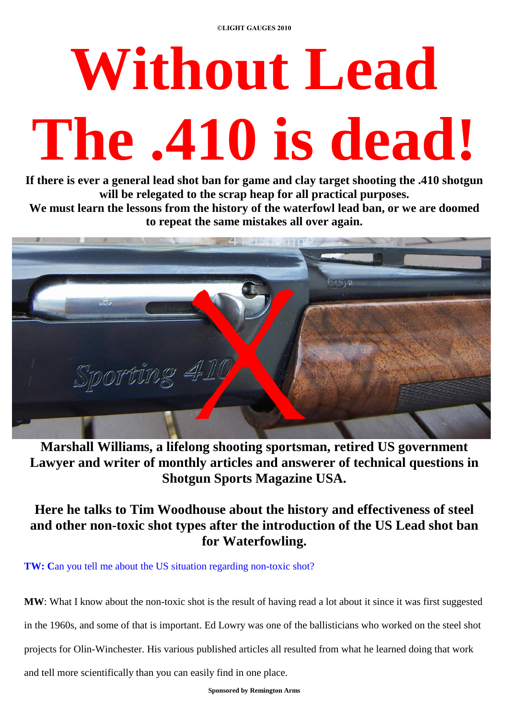# **Without Lead The .410 is dead!**

**If there is ever a general lead shot ban for game and clay target shooting the .410 shotgun will be relegated to the scrap heap for all practical purposes.**

**We must learn the lessons from the history of the waterfowl lead ban, or we are doomed to repeat the same mistakes all over again.**



**Marshall Williams, a lifelong shooting sportsman, retired US government Lawyer and writer of monthly articles and answerer of technical questions in Shotgun Sports Magazine USA.**

**Here he talks to Tim Woodhouse about the history and effectiveness of steel and other non-toxic shot types after the introduction of the US Lead shot ban for Waterfowling.**

**TW:** Can you tell me about the US situation regarding non-toxic shot?

**MW**: What I know about the non-toxic shot is the result of having read a lot about it since it was first suggested

in the 1960s, and some of that is important. Ed Lowry was one of the ballisticians who worked on the steel shot

projects for Olin-Winchester. His various published articles all resulted from what he learned doing that work

and tell more scientifically than you can easily find in one place.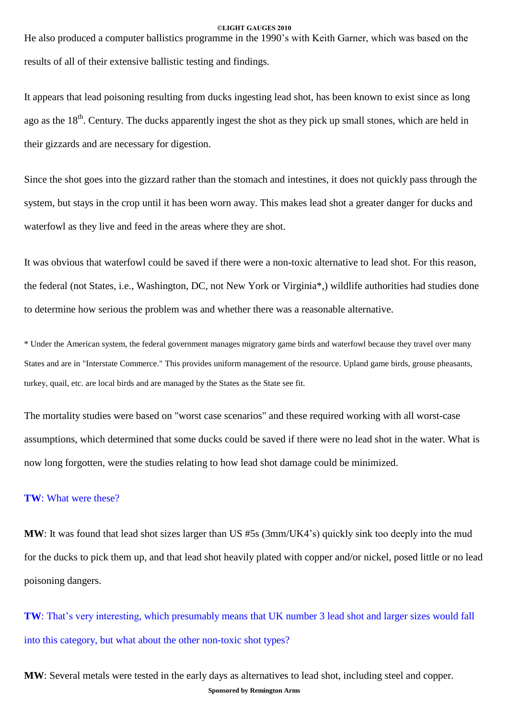He also produced a computer ballistics programme in the 1990's with Keith Garner, which was based on the results of all of their extensive ballistic testing and findings.

It appears that lead poisoning resulting from ducks ingesting lead shot, has been known to exist since as long ago as the 18<sup>th</sup>. Century. The ducks apparently ingest the shot as they pick up small stones, which are held in their gizzards and are necessary for digestion.

Since the shot goes into the gizzard rather than the stomach and intestines, it does not quickly pass through the system, but stays in the crop until it has been worn away. This makes lead shot a greater danger for ducks and waterfowl as they live and feed in the areas where they are shot.

It was obvious that waterfowl could be saved if there were a non-toxic alternative to lead shot. For this reason, the federal (not States, i.e., Washington, DC, not New York or Virginia\*,) wildlife authorities had studies done to determine how serious the problem was and whether there was a reasonable alternative.

\* Under the American system, the federal government manages migratory game birds and waterfowl because they travel over many States and are in "Interstate Commerce." This provides uniform management of the resource. Upland game birds, grouse pheasants, turkey, quail, etc. are local birds and are managed by the States as the State see fit.

The mortality studies were based on "worst case scenarios" and these required working with all worst-case assumptions, which determined that some ducks could be saved if there were no lead shot in the water. What is now long forgotten, were the studies relating to how lead shot damage could be minimized.

### **TW**: What were these?

**MW**: It was found that lead shot sizes larger than US #5s (3mm/UK4's) quickly sink too deeply into the mud for the ducks to pick them up, and that lead shot heavily plated with copper and/or nickel, posed little or no lead poisoning dangers.

**TW**: That's very interesting, which presumably means that UK number 3 lead shot and larger sizes would fall into this category, but what about the other non-toxic shot types?

**Sponsored by Remington Arms MW**: Several metals were tested in the early days as alternatives to lead shot, including steel and copper.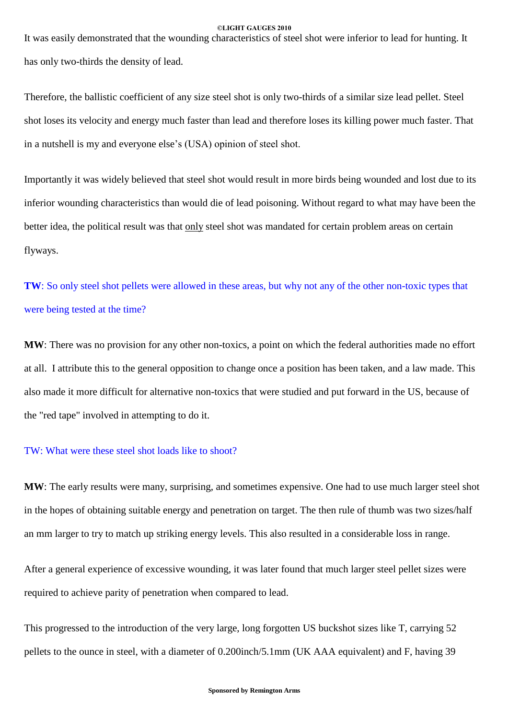It was easily demonstrated that the wounding characteristics of steel shot were inferior to lead for hunting. It has only two-thirds the density of lead.

Therefore, the ballistic coefficient of any size steel shot is only two-thirds of a similar size lead pellet. Steel shot loses its velocity and energy much faster than lead and therefore loses its killing power much faster. That in a nutshell is my and everyone else's (USA) opinion of steel shot.

Importantly it was widely believed that steel shot would result in more birds being wounded and lostdue to its inferior wounding characteristics than would die of lead poisoning. Without regard to what may have been the better idea, the political result was that only steel shot was mandated for certain problem areas on certain flyways.

**TW**: So only steel shot pellets were allowed in these areas, but why not any of the other non-toxic types that were being tested at the time?

**MW**: There was no provision for any other non-toxics, a point on which the federal authorities made no effort at all. I attribute this to the general opposition to change once a position has been taken, and a law made. This also made it more difficult for alternative non-toxics that were studied and put forward in the US, because of the "red tape" involved in attempting to do it.

## TW: What were these steel shot loads like to shoot?

**MW**: The early results were many, surprising, and sometimes expensive. One had to use much larger steel shot in the hopes of obtaining suitable energy and penetration on target. The then rule of thumb was two sizes/half an mm larger to try to match up striking energy levels. This also resulted in a considerable loss in range.

After a general experience of excessive wounding, it was later found that much larger steel pellet sizes were required to achieve parity of penetration when compared to lead.

This progressed to the introduction of the very large, long forgotten US buckshot sizes like T, carrying 52 pellets to the ounce in steel, with a diameter of 0.200inch/5.1mm (UK AAA equivalent) and F, having 39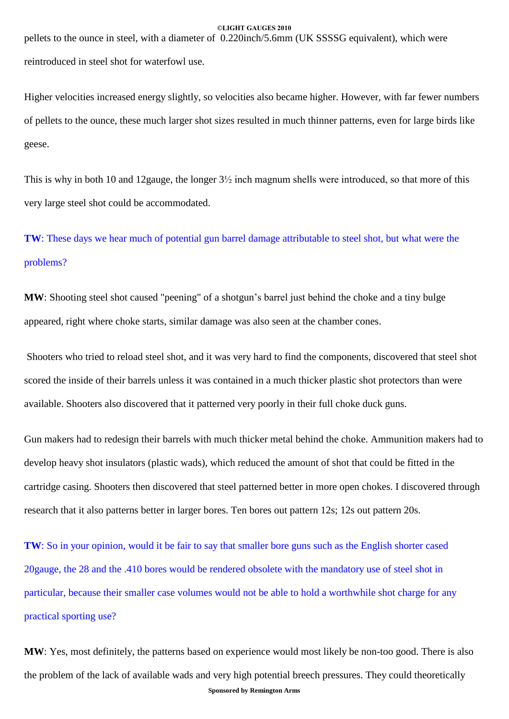pellets to the ounce in steel, with a diameter of 0.220inch/5.6mm (UK SSSSG equivalent), which were reintroduced in steel shot for waterfowl use.

Higher velocities increased energy slightly, so velocities also became higher. However, with far fewer numbers of pellets to the ounce, these much larger shot sizes resulted in much thinner patterns, even for large birds like geese.

This is why in both 10 and 12gauge, the longer 3½ inch magnum shells were introduced, so that more of this very large steel shot could be accommodated.

**TW**: These days we hear much of potential gun barrel damage attributable to steel shot, but what were the problems?

**MW**: Shooting steel shot caused "peening" of a shotgun's barrel just behind the choke and a tiny bulge appeared, right where choke starts, similar damage was also seen at the chamber cones.

Shooters who tried to reload steel shot, and it was very hard to find the components, discovered that steel shot scored the inside of their barrels unless it was contained in a much thicker plastic shot protectors than were available. Shooters also discovered that it patterned very poorly in their full choke duck guns.

Gun makers had to redesign their barrels with much thicker metal behind the choke. Ammunition makers had to develop heavy shot insulators (plastic wads), which reduced the amount of shot that could be fitted in the cartridge casing. Shooters then discovered that steel patterned better in more open chokes. I discovered through research that it also patterns better in larger bores. Ten bores out pattern 12s; 12s out pattern 20s.

**TW**: So in your opinion, would it be fair to say that smaller bore guns such as the English shorter cased 20gauge, the 28 and the .410 bores would be rendered obsolete with the mandatory use of steel shot in particular, because their smaller case volumes would not be able to hold a worthwhile shot charge for any practical sporting use?

**Sponsored by Remington Arms MW**: Yes, most definitely, the patterns based on experience would most likely be non-too good. There is also the problem of the lack of available wads and very high potential breech pressures. They could theoretically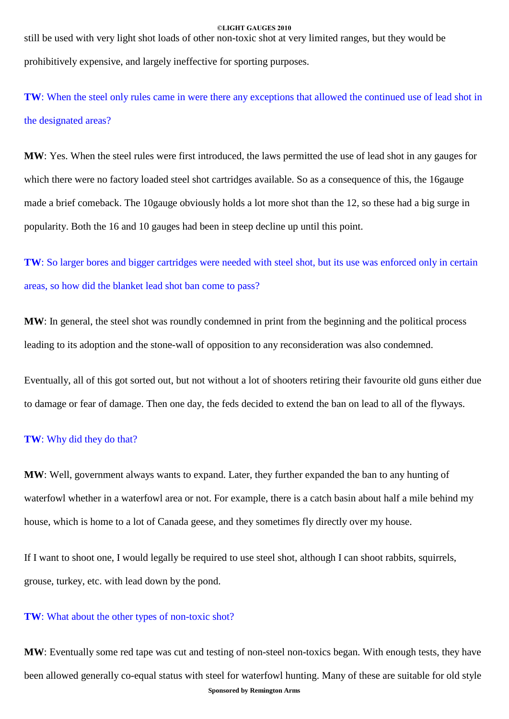still be used with very light shot loads of other non-toxic shot at very limited ranges, but they would be prohibitively expensive, and largely ineffective for sporting purposes.

**TW**: When the steel only rules came in were there any exceptions that allowed the continued use of lead shot in the designated areas?

**MW**: Yes. When the steel rules were first introduced, the laws permitted the use of lead shot in any gauges for which there were no factory loaded steel shot cartridges available. So as a consequence of this, the 16gauge made a brief comeback. The 10gauge obviously holds a lot more shot than the 12, so these had a big surge in popularity. Both the 16 and 10 gauges had been in steep decline up until this point.

**TW**: So larger bores and bigger cartridges were needed with steel shot, but its use was enforced only in certain areas, so how did the blanket lead shot ban come to pass?

**MW**: In general, the steel shot was roundly condemned in print from the beginning and the political process leading to its adoption and the stone-wall of opposition to any reconsideration was also condemned.

Eventually, all of this got sorted out, but not without a lot of shooters retiring their favourite old guns either due to damage or fear of damage. Then one day, the feds decided to extend the ban on lead to all of the flyways.

# **TW**: Why did they do that?

**MW**: Well, government always wants to expand. Later, they further expanded the ban to any hunting of waterfowl whether in a waterfowl area or not. For example, there is a catch basin about half a mile behind my house, which is home to a lot of Canada geese, and they sometimes fly directly over my house.

If I want to shoot one, I would legally be required to use steel shot, although I can shoot rabbits, squirrels, grouse, turkey, etc. with lead down by the pond.

## **TW**: What about the other types of non-toxic shot?

**Sponsored by Remington Arms MW**: Eventually some red tape was cut and testing of non-steel non-toxics began. With enough tests, they have been allowed generally co-equal status with steel for waterfowl hunting. Many of these are suitable for old style